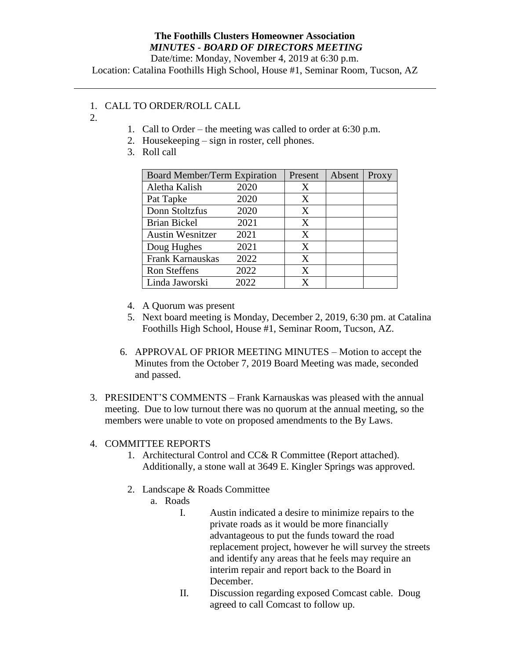## **The Foothills Clusters Homeowner Association** *MINUTES - BOARD OF DIRECTORS MEETING*

Date/time: Monday, November 4, 2019 at 6:30 p.m.

Location: Catalina Foothills High School, House #1, Seminar Room, Tucson, AZ

## 1. CALL TO ORDER/ROLL CALL

- 2.
- 1. Call to Order the meeting was called to order at 6:30 p.m.
- 2. Housekeeping sign in roster, cell phones.
- 3. Roll call

| <b>Board Member/Term Expiration</b> |      | Present | Absent | Proxy |
|-------------------------------------|------|---------|--------|-------|
| Aletha Kalish                       | 2020 | X       |        |       |
| Pat Tapke                           | 2020 | X       |        |       |
| Donn Stoltzfus                      | 2020 | X       |        |       |
| <b>Brian Bickel</b>                 | 2021 | X       |        |       |
| <b>Austin Wesnitzer</b>             | 2021 | X       |        |       |
| Doug Hughes                         | 2021 | X       |        |       |
| Frank Karnauskas                    | 2022 | X       |        |       |
| <b>Ron Steffens</b>                 | 2022 | X       |        |       |
| Linda Jaworski                      | 2022 | x       |        |       |

- 4. A Quorum was present
- 5. Next board meeting is Monday, December 2, 2019, 6:30 pm. at Catalina Foothills High School, House #1, Seminar Room, Tucson, AZ.
- 6. APPROVAL OF PRIOR MEETING MINUTES Motion to accept the Minutes from the October 7, 2019 Board Meeting was made, seconded and passed.
- 3. PRESIDENT'S COMMENTS Frank Karnauskas was pleased with the annual meeting. Due to low turnout there was no quorum at the annual meeting, so the members were unable to vote on proposed amendments to the By Laws.

## 4. COMMITTEE REPORTS

- 1. Architectural Control and CC& R Committee (Report attached). Additionally, a stone wall at 3649 E. Kingler Springs was approved.
- 2. Landscape & Roads Committee
	- a. Roads
		- I. Austin indicated a desire to minimize repairs to the private roads as it would be more financially advantageous to put the funds toward the road replacement project, however he will survey the streets and identify any areas that he feels may require an interim repair and report back to the Board in December.
		- II. Discussion regarding exposed Comcast cable. Doug agreed to call Comcast to follow up.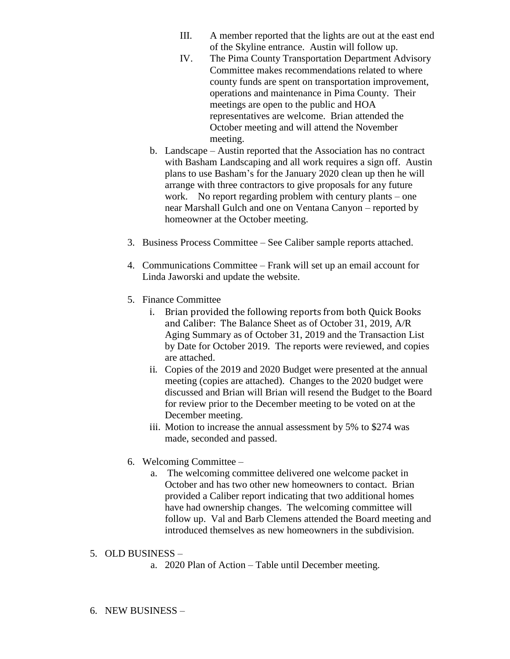- III. A member reported that the lights are out at the east end of the Skyline entrance. Austin will follow up.
- IV. The Pima County Transportation Department Advisory Committee makes recommendations related to where county funds are spent on transportation improvement, operations and maintenance in Pima County. Their meetings are open to the public and HOA representatives are welcome. Brian attended the October meeting and will attend the November meeting.
- b. Landscape Austin reported that the Association has no contract with Basham Landscaping and all work requires a sign off. Austin plans to use Basham's for the January 2020 clean up then he will arrange with three contractors to give proposals for any future work. No report regarding problem with century plants – one near Marshall Gulch and one on Ventana Canyon – reported by homeowner at the October meeting.
- 3. Business Process Committee See Caliber sample reports attached.
- 4. Communications Committee Frank will set up an email account for Linda Jaworski and update the website.
- 5. Finance Committee
	- i. Brian provided the following reports from both Quick Books and Caliber: The Balance Sheet as of October 31, 2019, A/R Aging Summary as of October 31, 2019 and the Transaction List by Date for October 2019. The reports were reviewed, and copies are attached.
	- ii. Copies of the 2019 and 2020 Budget were presented at the annual meeting (copies are attached). Changes to the 2020 budget were discussed and Brian will Brian will resend the Budget to the Board for review prior to the December meeting to be voted on at the December meeting.
	- iii. Motion to increase the annual assessment by 5% to \$274 was made, seconded and passed.
- 6. Welcoming Committee
	- a. The welcoming committee delivered one welcome packet in October and has two other new homeowners to contact. Brian provided a Caliber report indicating that two additional homes have had ownership changes. The welcoming committee will follow up. Val and Barb Clemens attended the Board meeting and introduced themselves as new homeowners in the subdivision.

## 5. OLD BUSINESS –

a. 2020 Plan of Action – Table until December meeting.